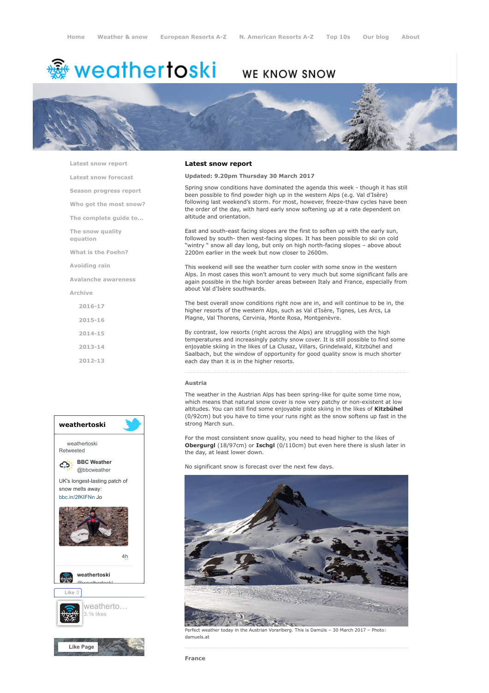# <del>鑾</del> weathertoski

# WE KNOW SNOW



[Latest snow report](https://www.weathertoski.co.uk/weather-snow/latest-snow-report/)

[Latest snow forecast](https://www.weathertoski.co.uk/weather-snow/latest-snow-forecast/)

[Season progress report](https://www.weathertoski.co.uk/weather-snow/season-progress-report/)

[Who got the most snow?](https://www.weathertoski.co.uk/weather-snow/who-got-the-most-snow/)

[The complete guide to...](https://www.weathertoski.co.uk/weather-snow/the-complete-guide-to/)

[The snow quality](https://www.weathertoski.co.uk/weather-snow/the-snow-quality-equation/)

[What is the Foehn?](https://www.weathertoski.co.uk/weather-snow/what-is-the-foehn/)

[Avoiding rain](https://www.weathertoski.co.uk/weather-snow/avoiding-rain/)

equation

[Avalanche awareness](https://www.weathertoski.co.uk/weather-snow/avalanche-awareness/)

[Archive](https://www.weathertoski.co.uk/weather-snow/archive/)

[2016-17](https://www.weathertoski.co.uk/weather-snow/archive/2016-17/) [2015-16](https://www.weathertoski.co.uk/weather-snow/archive/2015-16/)

[2014-15](https://www.weathertoski.co.uk/weather-snow/archive/2014-15/)

[2013-14](https://www.weathertoski.co.uk/weather-snow/archive/2013-14/)

[2012-13](https://www.weathertoski.co.uk/weather-snow/archive/2012-13/)



#### Latest snow report

## Updated: 9.20pm Thursday 30 March 2017

Spring snow conditions have dominated the agenda this week - though it has still been possible to find powder high up in the western Alps (e.g. Val d'Isère) following last weekend's storm. For most, however, freeze-thaw cycles have been the order of the day, with hard early snow softening up at a rate dependent on altitude and orientation.

East and south-east facing slopes are the first to soften up with the early sun, followed by south- then west-facing slopes. It has been possible to ski on cold "wintry " snow all day long, but only on high north-facing slopes – above about 2200m earlier in the week but now closer to 2600m.

This weekend will see the weather turn cooler with some snow in the western Alps. In most cases this won't amount to very much but some significant falls are again possible in the high border areas between Italy and France, especially from about Val d'Isère southwards.

The best overall snow conditions right now are in, and will continue to be in, the higher resorts of the western Alps, such as Val d'Isère, Tignes, Les Arcs, La Plagne, Val Thorens, Cervinia, Monte Rosa, Montgenèvre.

By contrast, low resorts (right across the Alps) are struggling with the high temperatures and increasingly patchy snow cover. It is still possible to find some enjoyable skiing in the likes of La Clusaz, Villars, Grindelwald, Kitzbühel and Saalbach, but the window of opportunity for good quality snow is much shorter each day than it is in the higher resorts.

#### Austria

The weather in the Austrian Alps has been spring-like for quite some time now, which means that natural snow cover is now very patchy or non-existent at low altitudes. You can still find some enjoyable piste skiing in the likes of Kitzbühel (0/92cm) but you have to time your runs right as the snow softens up fast in the strong March sun.

For the most consistent snow quality, you need to head higher to the likes of Obergurgl (18/97cm) or Ischgl (0/110cm) but even here there is slush later in the day, at least lower down.

No significant snow is forecast over the next few days.



Perfect weather today in the Austrian Vorarlberg. This is Damüls – 30 March 2017 – Photo: damuels.at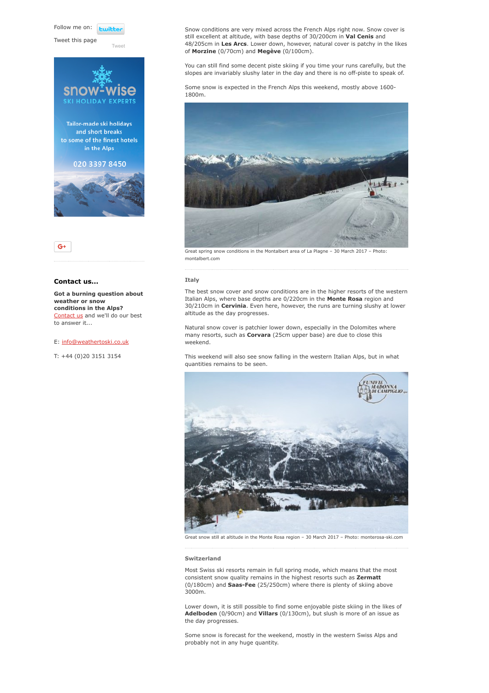Follow me on: **Luitt** 

Tweet this page



[Tweet](https://twitter.com/intent/tweet?original_referer=https%3A%2F%2Fwww.weathertoski.co.uk%2Fweather-snow%2Farchive%2Fsnow-report-30-03-2017%2F&ref_src=twsrc%5Etfw&text=Weather%20to%20ski%20-%20Snow%20report%20-%2030%20March%202017&tw_p=tweetbutton&url=https%3A%2F%2Fwww.weathertoski.co.uk%2Fweather-snow%2Farchive%2Fsnow-report-30-03-2017%2F)





## Contact us...

Got a burning question about weather or snow conditions in the Alps? [Contact us](https://www.weathertoski.co.uk/about-1/contact-us/) and we'll do our best to answer it...

#### E: [info@weathertoski.co.uk](mailto:fraser@weathertoski.co.uk)

T: +44 (0)20 3151 3154

Snow conditions are very mixed across the French Alps right now. Snow cover is still excellent at altitude, with base depths of 30/200cm in Val Cenis and 48/205cm in Les Arcs. Lower down, however, natural cover is patchy in the likes of Morzine (0/70cm) and Megève (0/100cm).

You can still find some decent piste skiing if you time your runs carefully, but the slopes are invariably slushy later in the day and there is no off-piste to speak of.

Some snow is expected in the French Alps this weekend, mostly above 1600- 1800m.



Great spring snow conditions in the Montalbert area of La Plagne – 30 March 2017 – Photo: montalbert.com

#### Italy

The best snow cover and snow conditions are in the higher resorts of the western Italian Alps, where base depths are 0/220cm in the Monte Rosa region and 30/210cm in Cervinia. Even here, however, the runs are turning slushy at lower altitude as the day progresses.

Natural snow cover is patchier lower down, especially in the Dolomites where many resorts, such as **Corvara** (25cm upper base) are due to close this weekend.

This weekend will also see snow falling in the western Italian Alps, but in what quantities remains to be seen.



Great snow still at altitude in the Monte Rosa region – 30 March 2017 – Photo: monterosa-ski.com

# Switzerland

Most Swiss ski resorts remain in full spring mode, which means that the most consistent snow quality remains in the highest resorts such as Zermatt (0/180cm) and Saas-Fee (25/250cm) where there is plenty of skiing above 3000m.

Lower down, it is still possible to find some enjoyable piste skiing in the likes of Adelboden (0/90cm) and Villars (0/130cm), but slush is more of an issue as the day progresses.

Some snow is forecast for the weekend, mostly in the western Swiss Alps and probably not in any huge quantity.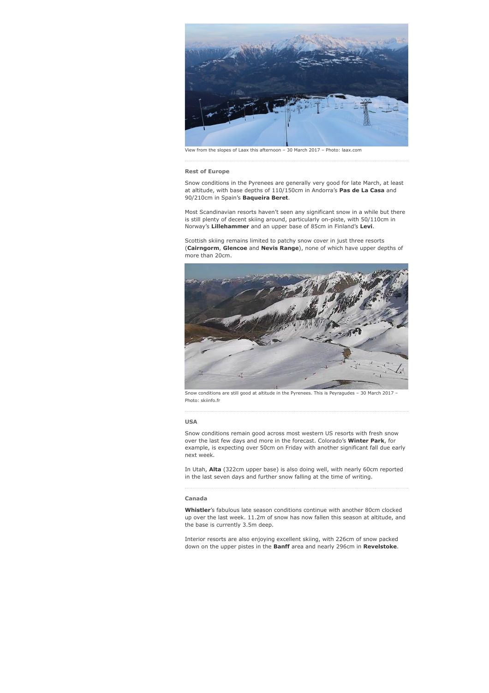

View from the slopes of Laax this afternoon – 30 March 2017 – Photo: laax.com

#### Rest of Europe

Snow conditions in the Pyrenees are generally very good for late March, at least at altitude, with base depths of 110/150cm in Andorra's Pas de La Casa and 90/210cm in Spain's **Baqueira Beret**.

Most Scandinavian resorts haven't seen any significant snow in a while but there is still plenty of decent skiing around, particularly on-piste, with 50/110cm in Norway's Lillehammer and an upper base of 85cm in Finland's Levi.

Scottish skiing remains limited to patchy snow cover in just three resorts (Cairngorm, Glencoe and Nevis Range), none of which have upper depths of more than 20cm.



Snow conditions are still good at altitude in the Pyrenees. This is Peyragudes – 30 March 2017 – Photo: skiinfo.fr

#### USA

Snow conditions remain good across most western US resorts with fresh snow over the last few days and more in the forecast. Colorado's Winter Park, for example, is expecting over 50cm on Friday with another significant fall due early next week.

In Utah, Alta (322cm upper base) is also doing well, with nearly 60cm reported in the last seven days and further snow falling at the time of writing.

#### Canada

Whistler's fabulous late season conditions continue with another 80cm clocked up over the last week. 11.2m of snow has now fallen this season at altitude, and the base is currently 3.5m deep.

Interior resorts are also enjoying excellent skiing, with 226cm of snow packed down on the upper pistes in the Banff area and nearly 296cm in Revelstoke.